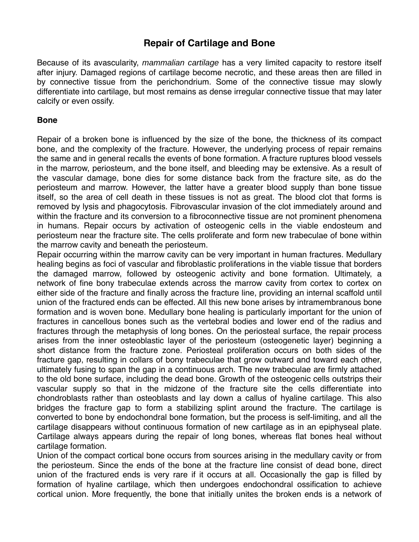## **Repair of Cartilage and Bone**

Because of its avascularity, *mammalian cartilage* has a very limited capacity to restore itself after injury. Damaged regions of cartilage become necrotic, and these areas then are filled in by connective tissue from the perichondrium. Some of the connective tissue may slowly differentiate into cartilage, but most remains as dense irregular connective tissue that may later calcify or even ossify.

## **Bone**

Repair of a broken bone is influenced by the size of the bone, the thickness of its compact bone, and the complexity of the fracture. However, the underlying process of repair remains the same and in general recalls the events of bone formation. A fracture ruptures blood vessels in the marrow, periosteum, and the bone itself, and bleeding may be extensive. As a result of the vascular damage, bone dies for some distance back from the fracture site, as do the periosteum and marrow. However, the latter have a greater blood supply than bone tissue itself, so the area of cell death in these tissues is not as great. The blood clot that forms is removed by lysis and phagocytosis. Fibrovascular invasion of the clot immediately around and within the fracture and its conversion to a fibroconnective tissue are not prominent phenomena in humans. Repair occurs by activation of osteogenic cells in the viable endosteum and periosteum near the fracture site. The cells proliferate and form new trabeculae of bone within the marrow cavity and beneath the periosteum.

Repair occurring within the marrow cavity can be very important in human fractures. Medullary healing begins as foci of vascular and fibroblastic proliferations in the viable tissue that borders the damaged marrow, followed by osteogenic activity and bone formation. Ultimately, a network of fine bony trabeculae extends across the marrow cavity from cortex to cortex on either side of the fracture and finally across the fracture line, providing an internal scaffold until union of the fractured ends can be effected. All this new bone arises by intramembranous bone formation and is woven bone. Medullary bone healing is particularly important for the union of fractures in cancellous bones such as the vertebral bodies and lower end of the radius and fractures through the metaphysis of long bones. On the periosteal surface, the repair process arises from the inner osteoblastic layer of the periosteum (osteogenetic layer) beginning a short distance from the fracture zone. Periosteal proliferation occurs on both sides of the fracture gap, resulting in collars of bony trabeculae that grow outward and toward each other, ultimately fusing to span the gap in a continuous arch. The new trabeculae are firmly attached to the old bone surface, including the dead bone. Growth of the osteogenic cells outstrips their vascular supply so that in the midzone of the fracture site the cells differentiate into chondroblasts rather than osteoblasts and lay down a callus of hyaline cartilage. This also bridges the fracture gap to form a stabilizing splint around the fracture. The cartilage is converted to bone by endochondral bone formation, but the process is self-limiting, and all the cartilage disappears without continuous formation of new cartilage as in an epiphyseal plate. Cartilage always appears during the repair of long bones, whereas flat bones heal without cartilage formation.

Union of the compact cortical bone occurs from sources arising in the medullary cavity or from the periosteum. Since the ends of the bone at the fracture line consist of dead bone, direct union of the fractured ends is very rare if it occurs at all. Occasionally the gap is filled by formation of hyaline cartilage, which then undergoes endochondral ossification to achieve cortical union. More frequently, the bone that initially unites the broken ends is a network of